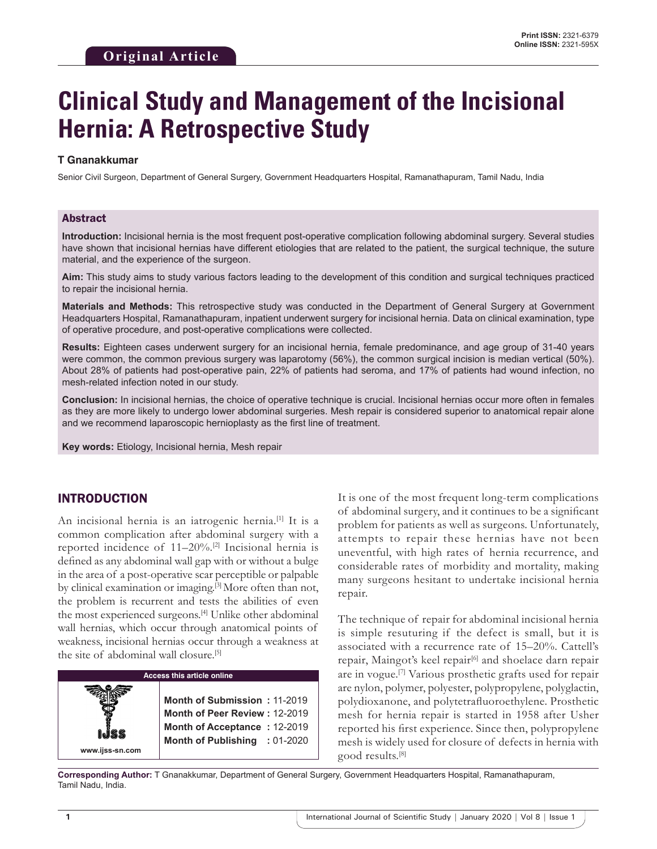# **Clinical Study and Management of the Incisional Hernia: A Retrospective Study**

#### **T Gnanakkumar**

Senior Civil Surgeon, Department of General Surgery, Government Headquarters Hospital, Ramanathapuram, Tamil Nadu, India

#### Abstract

**Introduction:** Incisional hernia is the most frequent post-operative complication following abdominal surgery. Several studies have shown that incisional hernias have different etiologies that are related to the patient, the surgical technique, the suture material, and the experience of the surgeon.

**Aim:** This study aims to study various factors leading to the development of this condition and surgical techniques practiced to repair the incisional hernia.

**Materials and Methods:** This retrospective study was conducted in the Department of General Surgery at Government Headquarters Hospital, Ramanathapuram, inpatient underwent surgery for incisional hernia. Data on clinical examination, type of operative procedure, and post-operative complications were collected.

**Results:** Eighteen cases underwent surgery for an incisional hernia, female predominance, and age group of 31-40 years were common, the common previous surgery was laparotomy (56%), the common surgical incision is median vertical (50%). About 28% of patients had post-operative pain, 22% of patients had seroma, and 17% of patients had wound infection, no mesh-related infection noted in our study.

**Conclusion:** In incisional hernias, the choice of operative technique is crucial. Incisional hernias occur more often in females as they are more likely to undergo lower abdominal surgeries. Mesh repair is considered superior to anatomical repair alone and we recommend laparoscopic hernioplasty as the first line of treatment.

**Key words:** Etiology, Incisional hernia, Mesh repair

# INTRODUCTION

An incisional hernia is an iatrogenic hernia.[1] It is a common complication after abdominal surgery with a reported incidence of 11–20%.[2] Incisional hernia is defined as any abdominal wall gap with or without a bulge in the area of a post-operative scar perceptible or palpable by clinical examination or imaging.<sup>[3]</sup> More often than not, the problem is recurrent and tests the abilities of even the most experienced surgeons.<sup>[4]</sup> Unlike other abdominal wall hernias, which occur through anatomical points of weakness, incisional hernias occur through a weakness at the site of abdominal wall closure.[5]

| <b>Access this article online</b> |                                                                                                                                |  |  |  |
|-----------------------------------|--------------------------------------------------------------------------------------------------------------------------------|--|--|--|
| www.ijss-sn.com                   | Month of Submission: 11-2019<br>Month of Peer Review: 12-2019<br>Month of Acceptance: 12-2019<br>Month of Publishing : 01-2020 |  |  |  |

It is one of the most frequent long-term complications of abdominal surgery, and it continues to be a significant problem for patients as well as surgeons. Unfortunately, attempts to repair these hernias have not been uneventful, with high rates of hernia recurrence, and considerable rates of morbidity and mortality, making many surgeons hesitant to undertake incisional hernia repair.

The technique of repair for abdominal incisional hernia is simple resuturing if the defect is small, but it is associated with a recurrence rate of 15–20%. Cattell's repair, Maingot's keel repair<sup>[6]</sup> and shoelace darn repair are in vogue.[7] Various prosthetic grafts used for repair are nylon, polymer, polyester, polypropylene, polyglactin, polydioxanone, and polytetrafluoroethylene. Prosthetic mesh for hernia repair is started in 1958 after Usher reported his first experience. Since then, polypropylene mesh is widely used for closure of defects in hernia with good results.[8]

**Corresponding Author:** T Gnanakkumar, Department of General Surgery, Government Headquarters Hospital, Ramanathapuram, Tamil Nadu, India.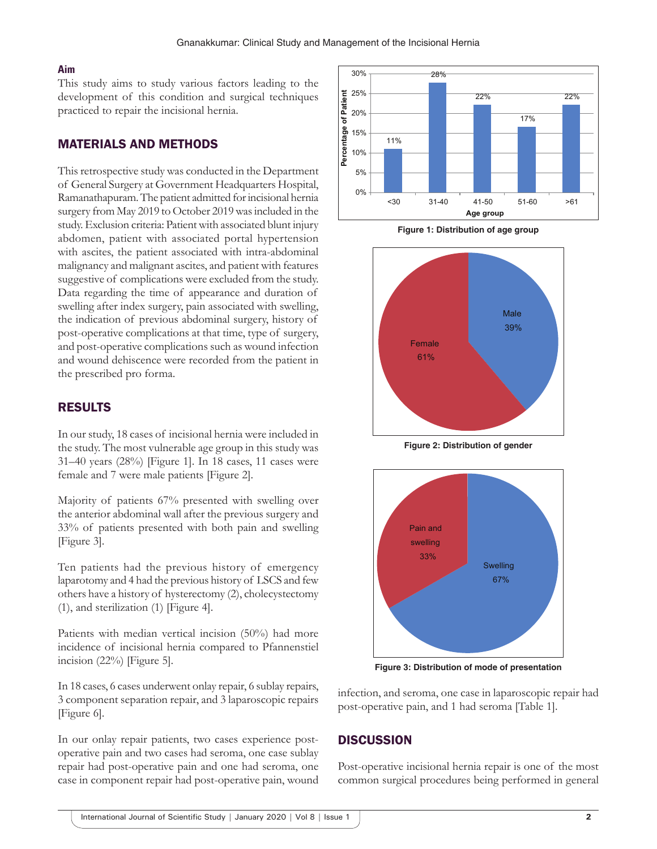#### **Aim**

This study aims to study various factors leading to the development of this condition and surgical techniques practiced to repair the incisional hernia.

#### MATERIALS AND METHODS

This retrospective study was conducted in the Department of General Surgery at Government Headquarters Hospital, Ramanathapuram. The patient admitted for incisional hernia surgery from May 2019 to October 2019 was included in the study. Exclusion criteria: Patient with associated blunt injury abdomen, patient with associated portal hypertension with ascites, the patient associated with intra-abdominal malignancy and malignant ascites, and patient with features suggestive of complications were excluded from the study. Data regarding the time of appearance and duration of swelling after index surgery, pain associated with swelling, the indication of previous abdominal surgery, history of post-operative complications at that time, type of surgery, and post-operative complications such as wound infection and wound dehiscence were recorded from the patient in the prescribed pro forma.

#### RESULTS

In our study, 18 cases of incisional hernia were included in the study. The most vulnerable age group in this study was 31–40 years (28%) [Figure 1]. In 18 cases, 11 cases were female and 7 were male patients [Figure 2].

Majority of patients 67% presented with swelling over the anterior abdominal wall after the previous surgery and 33% of patients presented with both pain and swelling [Figure 3].

Ten patients had the previous history of emergency laparotomy and 4 had the previous history of LSCS and few others have a history of hysterectomy (2), cholecystectomy (1), and sterilization (1) [Figure 4].

Patients with median vertical incision (50%) had more incidence of incisional hernia compared to Pfannenstiel incision (22%) [Figure 5].

In 18 cases, 6 cases underwent onlay repair, 6 sublay repairs, 3 component separation repair, and 3 laparoscopic repairs [Figure 6].

In our onlay repair patients, two cases experience postoperative pain and two cases had seroma, one case sublay repair had post-operative pain and one had seroma, one case in component repair had post-operative pain, wound



**Figure 1: Distribution of age group**



**Figure 2: Distribution of gender**



**Figure 3: Distribution of mode of presentation**

infection, and seroma, one case in laparoscopic repair had post-operative pain, and 1 had seroma [Table 1].

## **DISCUSSION**

Post-operative incisional hernia repair is one of the most common surgical procedures being performed in general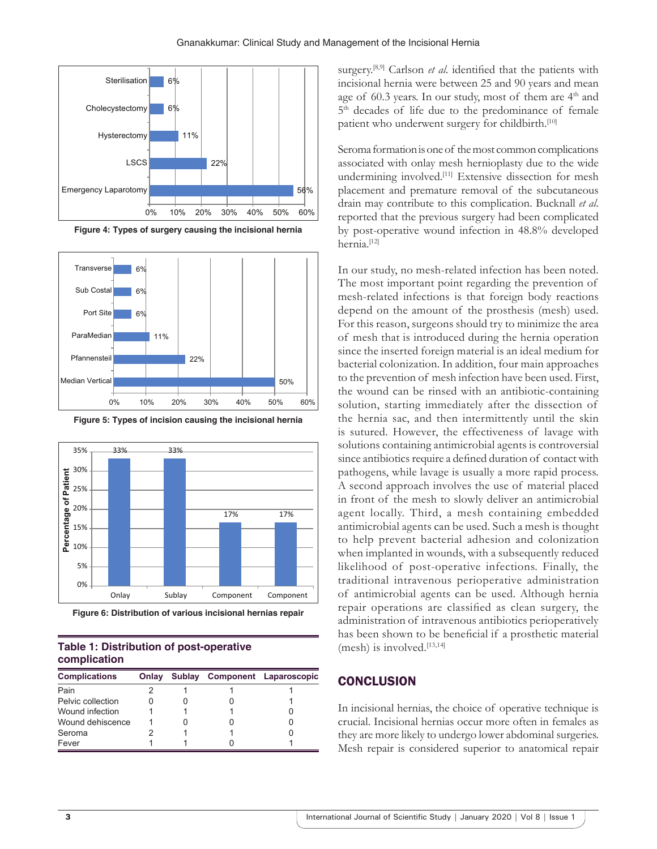

**Figure 4: Types of surgery causing the incisional hernia**



**Figure 5: Types of incision causing the incisional hernia**



**Figure 6: Distribution of various incisional hernias repair**

### **Table 1: Distribution of post‑operative complication**

| <b>Complications</b> | Onlay |  | Sublay Component Laparoscopic |
|----------------------|-------|--|-------------------------------|
| Pain                 |       |  |                               |
| Pelvic collection    |       |  |                               |
| Wound infection      |       |  |                               |
| Wound dehiscence     |       |  |                               |
| Seroma               |       |  |                               |
| Fever                |       |  |                               |

surgery.<sup>[8,9]</sup> Carlson *et al.* identified that the patients with incisional hernia were between 25 and 90 years and mean age of 60.3 years. In our study, most of them are  $4<sup>th</sup>$  and 5<sup>th</sup> decades of life due to the predominance of female patient who underwent surgery for childbirth.<sup>[10]</sup>

Seroma formation is one of the most common complications associated with onlay mesh hernioplasty due to the wide undermining involved.<sup>[11]</sup> Extensive dissection for mesh placement and premature removal of the subcutaneous drain may contribute to this complication. Bucknall *et al*. reported that the previous surgery had been complicated by post-operative wound infection in 48.8% developed hernia.[12]

In our study, no mesh-related infection has been noted. The most important point regarding the prevention of mesh-related infections is that foreign body reactions depend on the amount of the prosthesis (mesh) used. For this reason, surgeons should try to minimize the area of mesh that is introduced during the hernia operation since the inserted foreign material is an ideal medium for bacterial colonization. In addition, four main approaches to the prevention of mesh infection have been used. First, the wound can be rinsed with an antibiotic-containing solution, starting immediately after the dissection of the hernia sac, and then intermittently until the skin is sutured. However, the effectiveness of lavage with solutions containing antimicrobial agents is controversial since antibiotics require a defined duration of contact with pathogens, while lavage is usually a more rapid process. A second approach involves the use of material placed in front of the mesh to slowly deliver an antimicrobial agent locally. Third, a mesh containing embedded antimicrobial agents can be used. Such a mesh is thought to help prevent bacterial adhesion and colonization when implanted in wounds, with a subsequently reduced likelihood of post-operative infections. Finally, the traditional intravenous perioperative administration of antimicrobial agents can be used. Although hernia repair operations are classified as clean surgery, the administration of intravenous antibiotics perioperatively has been shown to be beneficial if a prosthetic material  $(mesh)$  is involved.<sup>[13,14]</sup>

### **CONCLUSION**

In incisional hernias, the choice of operative technique is crucial. Incisional hernias occur more often in females as they are more likely to undergo lower abdominal surgeries. Mesh repair is considered superior to anatomical repair